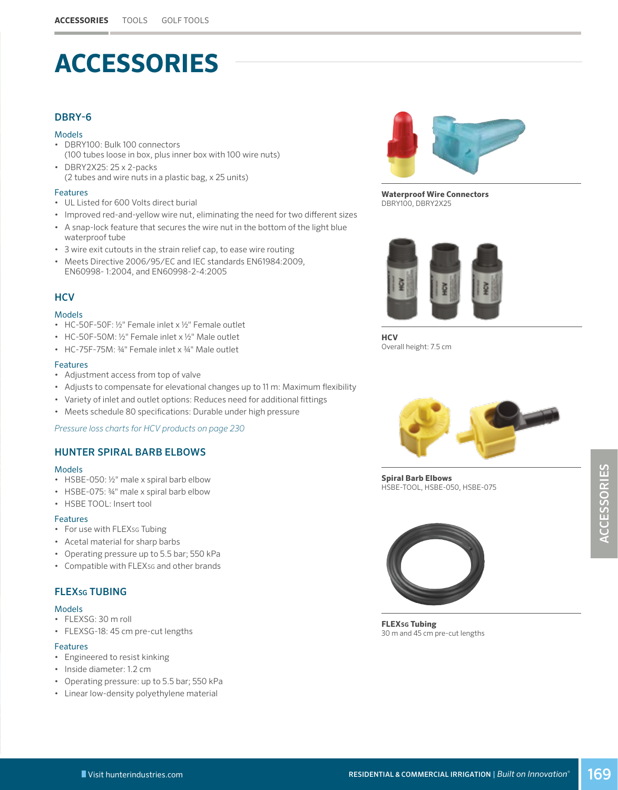## **ACCESSORIES**

### DBRY-6

#### Models

- DBRY100: Bulk 100 connectors (100 tubes loose in box, plus inner box with 100 wire nuts)
- DBRY2X25: 25 x 2-packs (2 tubes and wire nuts in a plastic bag, x 25 units)

#### Features

- UL Listed for 600 Volts direct burial
- Improved red-and-yellow wire nut, eliminating the need for two different sizes
- A snap-lock feature that secures the wire nut in the bottom of the light blue waterproof tube
- 3 wire exit cutouts in the strain relief cap, to ease wire routing
- Meets Directive 2006/95/EC and IEC standards EN61984:2009, EN60998- 1:2004, and EN60998-2-4:2005

## **HCV**

#### Models

- HC-50F-50F: ½" Female inlet x ½" Female outlet
- HC-50F-50M: ½" Female inlet x ½" Male outlet
- HC-75F-75M: ¾" Female inlet x ¾" Male outlet

#### Features

- Adjustment access from top of valve
- Adjusts to compensate for elevational changes up to 11 m: Maximum flexibility
- Variety of inlet and outlet options: Reduces need for additional fittings
- Meets schedule 80 specifications: Durable under high pressure

*Pressure loss charts for HCV products on page [230](#page--1-0)*

## HUNTER SPIRAL BARB ELBOWS

#### Models

- HSBE-050: ½" male x spiral barb elbow
- HSBE-075: ¾" male x spiral barb elbow
- HSBE TOOL: Insert tool

#### Features

- For use with FLEXsG Tubing
- Acetal material for sharp barbs
- Operating pressure up to 5.5 bar; 550 kPa
- Compatible with FLEXSG and other brands

## **FLEXsG TUBING**

#### Models

- FLEXSG: 30 m roll
- FLEXSG-18: 45 cm pre-cut lengths

#### Features

- Engineered to resist kinking
- Inside diameter: 1.2 cm
- Operating pressure: up to 5.5 bar; 550 kPa
- Linear low-density polyethylene material



**Waterproof Wire Connectors** DBRY100, DBRY2X25



**HCV** Overall height: 7.5 cm



**Spiral Barb Elbows** HSBE-TOOL, HSBE-050, HSBE-075



**FLEXSG Tubing** 30 m and 45 cm pre-cut lengths